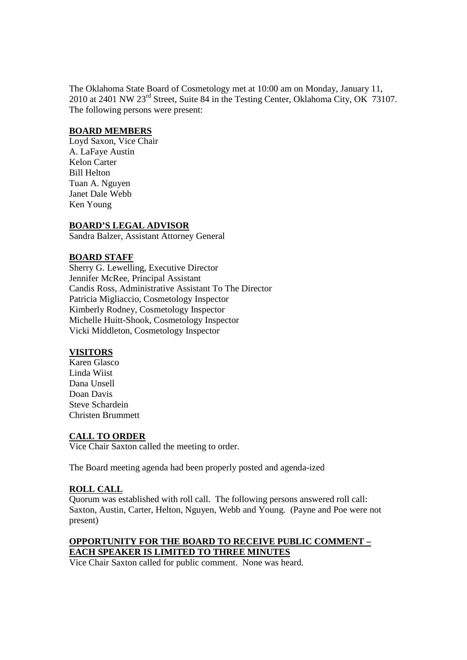The Oklahoma State Board of Cosmetology met at 10:00 am on Monday, January 11, 2010 at 2401 NW 23rd Street, Suite 84 in the Testing Center, Oklahoma City, OK 73107. The following persons were present:

#### **BOARD MEMBERS**

Loyd Saxon, Vice Chair A. LaFaye Austin Kelon Carter Bill Helton Tuan A. Nguyen Janet Dale Webb Ken Young

## **BOARD'S LEGAL ADVISOR**

Sandra Balzer, Assistant Attorney General

## **BOARD STAFF**

Sherry G. Lewelling, Executive Director Jennifer McRee, Principal Assistant Candis Ross, Administrative Assistant To The Director Patricia Migliaccio, Cosmetology Inspector Kimberly Rodney, Cosmetology Inspector Michelle Huitt-Shook, Cosmetology Inspector Vicki Middleton, Cosmetology Inspector

## **VISITORS**

Karen Glasco Linda Wiist Dana Unsell Doan Davis Steve Schardein Christen Brummett

## **CALL TO ORDER**

Vice Chair Saxton called the meeting to order.

The Board meeting agenda had been properly posted and agenda-ized

#### **ROLL CALL**

Quorum was established with roll call. The following persons answered roll call: Saxton, Austin, Carter, Helton, Nguyen, Webb and Young. (Payne and Poe were not present)

## **OPPORTUNITY FOR THE BOARD TO RECEIVE PUBLIC COMMENT – EACH SPEAKER IS LIMITED TO THREE MINUTES**

Vice Chair Saxton called for public comment. None was heard.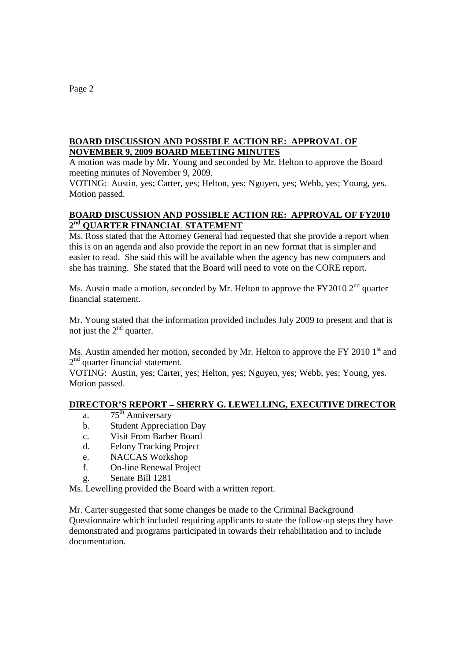## **BOARD DISCUSSION AND POSSIBLE ACTION RE: APPROVAL OF NOVEMBER 9, 2009 BOARD MEETING MINUTES**

A motion was made by Mr. Young and seconded by Mr. Helton to approve the Board meeting minutes of November 9, 2009.

VOTING: Austin, yes; Carter, yes; Helton, yes; Nguyen, yes; Webb, yes; Young, yes. Motion passed.

## **BOARD DISCUSSION AND POSSIBLE ACTION RE: APPROVAL OF FY2010 2nd QUARTER FINANCIAL STATEMENT**

Ms. Ross stated that the Attorney General had requested that she provide a report when this is on an agenda and also provide the report in an new format that is simpler and easier to read. She said this will be available when the agency has new computers and she has training. She stated that the Board will need to vote on the CORE report.

Ms. Austin made a motion, seconded by Mr. Helton to approve the FY2010  $2<sup>nd</sup>$  quarter financial statement.

Mr. Young stated that the information provided includes July 2009 to present and that is not just the  $2<sup>nd</sup>$  quarter.

Ms. Austin amended her motion, seconded by Mr. Helton to approve the FY 2010  $1<sup>st</sup>$  and  $2<sup>nd</sup>$  quarter financial statement.

VOTING: Austin, yes; Carter, yes; Helton, yes; Nguyen, yes; Webb, yes; Young, yes. Motion passed.

## **DIRECTOR'S REPORT – SHERRY G. LEWELLING, EXECUTIVE DIRECTOR**

- a.  $75<sup>th</sup>$  Anniversary
- b. Student Appreciation Day
- c. Visit From Barber Board
- d. Felony Tracking Project
- e. NACCAS Workshop
- f. On-line Renewal Project
- g. Senate Bill 1281

Ms. Lewelling provided the Board with a written report.

Mr. Carter suggested that some changes be made to the Criminal Background Questionnaire which included requiring applicants to state the follow-up steps they have demonstrated and programs participated in towards their rehabilitation and to include documentation.

Page 2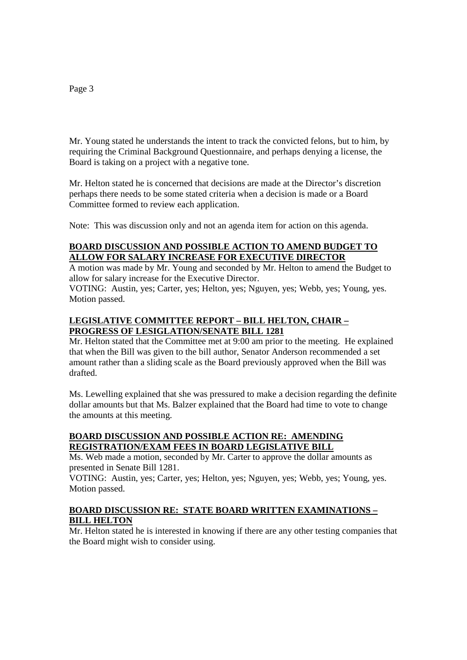#### Mr. Young stated he understands the intent to track the convicted felons, but to him, by requiring the Criminal Background Questionnaire, and perhaps denying a license, the Board is taking on a project with a negative tone.

Mr. Helton stated he is concerned that decisions are made at the Director's discretion perhaps there needs to be some stated criteria when a decision is made or a Board Committee formed to review each application.

Note: This was discussion only and not an agenda item for action on this agenda.

## **BOARD DISCUSSION AND POSSIBLE ACTION TO AMEND BUDGET TO ALLOW FOR SALARY INCREASE FOR EXECUTIVE DIRECTOR**

A motion was made by Mr. Young and seconded by Mr. Helton to amend the Budget to allow for salary increase for the Executive Director.

VOTING: Austin, yes; Carter, yes; Helton, yes; Nguyen, yes; Webb, yes; Young, yes. Motion passed.

## **LEGISLATIVE COMMITTEE REPORT – BILL HELTON, CHAIR – PROGRESS OF LESIGLATION/SENATE BILL 1281**

Mr. Helton stated that the Committee met at 9:00 am prior to the meeting. He explained that when the Bill was given to the bill author, Senator Anderson recommended a set amount rather than a sliding scale as the Board previously approved when the Bill was drafted.

Ms. Lewelling explained that she was pressured to make a decision regarding the definite dollar amounts but that Ms. Balzer explained that the Board had time to vote to change the amounts at this meeting.

## **BOARD DISCUSSION AND POSSIBLE ACTION RE: AMENDING REGISTRATION/EXAM FEES IN BOARD LEGISLATIVE BILL**

Ms. Web made a motion, seconded by Mr. Carter to approve the dollar amounts as presented in Senate Bill 1281.

VOTING: Austin, yes; Carter, yes; Helton, yes; Nguyen, yes; Webb, yes; Young, yes. Motion passed.

## **BOARD DISCUSSION RE: STATE BOARD WRITTEN EXAMINATIONS – BILL HELTON**

Mr. Helton stated he is interested in knowing if there are any other testing companies that the Board might wish to consider using.

#### Page 3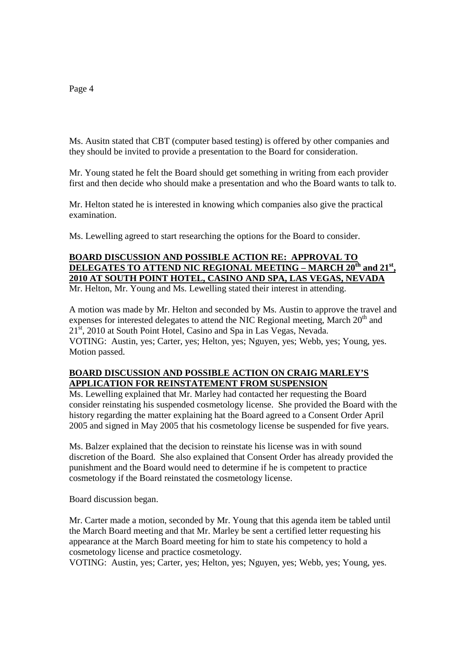Ms. Ausitn stated that CBT (computer based testing) is offered by other companies and they should be invited to provide a presentation to the Board for consideration.

Mr. Young stated he felt the Board should get something in writing from each provider first and then decide who should make a presentation and who the Board wants to talk to.

Mr. Helton stated he is interested in knowing which companies also give the practical examination.

Ms. Lewelling agreed to start researching the options for the Board to consider.

# **BOARD DISCUSSION AND POSSIBLE ACTION RE: APPROVAL TO DELEGATES TO ATTEND NIC REGIONAL MEETING – MARCH 20th and 21st, 2010 AT SOUTH POINT HOTEL, CASINO AND SPA, LAS VEGAS, NEVADA**

Mr. Helton, Mr. Young and Ms. Lewelling stated their interest in attending.

A motion was made by Mr. Helton and seconded by Ms. Austin to approve the travel and expenses for interested delegates to attend the NIC Regional meeting, March  $20<sup>th</sup>$  and 21<sup>st</sup>, 2010 at South Point Hotel, Casino and Spa in Las Vegas, Nevada. VOTING: Austin, yes; Carter, yes; Helton, yes; Nguyen, yes; Webb, yes; Young, yes. Motion passed.

## **BOARD DISCUSSION AND POSSIBLE ACTION ON CRAIG MARLEY'S APPLICATION FOR REINSTATEMENT FROM SUSPENSION**

Ms. Lewelling explained that Mr. Marley had contacted her requesting the Board consider reinstating his suspended cosmetology license. She provided the Board with the history regarding the matter explaining hat the Board agreed to a Consent Order April 2005 and signed in May 2005 that his cosmetology license be suspended for five years.

Ms. Balzer explained that the decision to reinstate his license was in with sound discretion of the Board. She also explained that Consent Order has already provided the punishment and the Board would need to determine if he is competent to practice cosmetology if the Board reinstated the cosmetology license.

Board discussion began.

Mr. Carter made a motion, seconded by Mr. Young that this agenda item be tabled until the March Board meeting and that Mr. Marley be sent a certified letter requesting his appearance at the March Board meeting for him to state his competency to hold a cosmetology license and practice cosmetology.

VOTING: Austin, yes; Carter, yes; Helton, yes; Nguyen, yes; Webb, yes; Young, yes.

#### Page 4